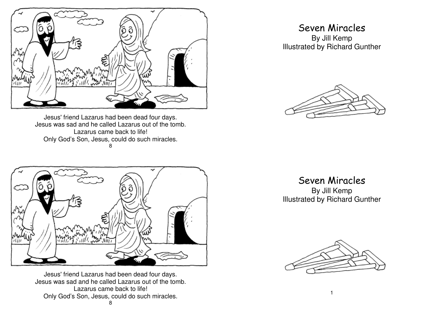

Jesus' friend Lazarus had been dead four days. Jesus was sad and he called Lazarus out of the tomb. Lazarus came back to life! Only God's Son, Jesus, could do such miracles. 8



Jesus' friend Lazarus had been dead four days. Jesus was sad and he called Lazarus out of the tomb. Lazarus came back to life! Only God's Son, Jesus, could do such miracles. 8

## Seven Miracles

By Jill Kemp Illustrated by Richard Gunther



Seven Miracles

By Jill Kemp Illustrated by Richard Gunther

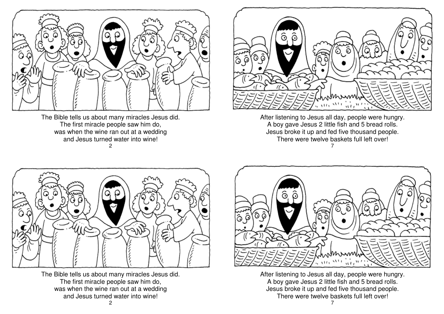

The Bible tells us about many miracles Jesus did. The first miracle people saw him do, was when the wine ran out at a wedding and Jesus turned water into wine!  $\mathfrak{p}$ 



After listening to Jesus all day, people were hungry. A boy gave Jesus 2 little fish and 5 bread rolls. Jesus broke it up and fed five thousand people. There were twelve baskets full left over! 7



The Bible tells us about many miracles Jesus did. The first miracle people saw him do, was when the wine ran out at a wedding and Jesus turned water into wine!



After listening to Jesus all day, people were hungry. A boy gave Jesus 2 little fish and 5 bread rolls. Jesus broke it up and fed five thousand people. There were twelve baskets full left over!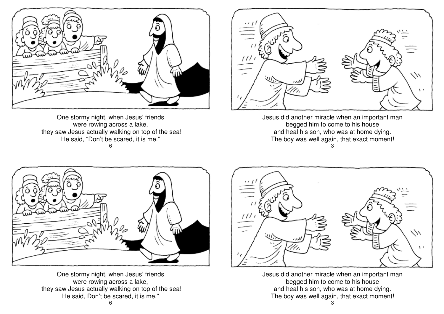

One stormy night, when Jesus' friends were rowing across a lake, they saw Jesus actually walking on top of the sea!He said, "Don't be scared, it is me." 6



Jesus did another miracle when an important man begged him to come to his house and heal his son, who was at home dying. The boy was well again, that exact moment! 3



One stormy night, when Jesus' friends were rowing across a lake, they saw Jesus actually walking on top of the sea!He said, Don't be scared, it is me."



Jesus did another miracle when an important man begged him to come to his house and heal his son, who was at home dying. The boy was well again, that exact moment!